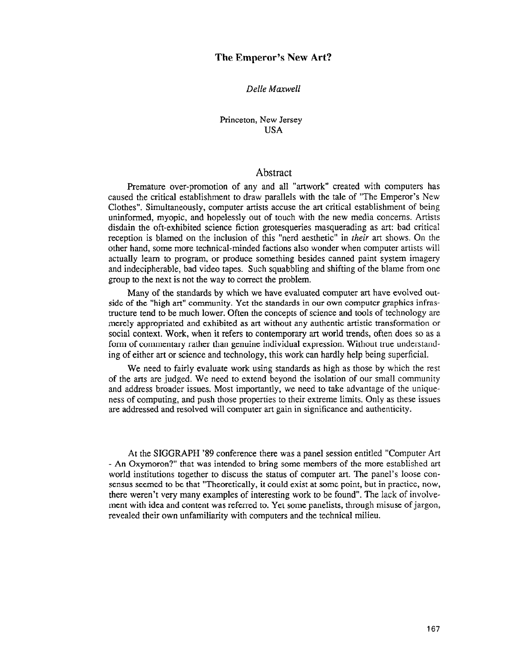Delle Maxwell

Princeton, New Jersey USA

# Abstract

Premature over-promotion of any and all "artwork" created with computers has caused the critical establishment to draw parallels with the tale of "The Emperor's New Clothes". Simultaneously, computer artists accuse the art critical establishment of being uninformed, myopic, and hopelessly out of touch with the new media concerns. Artists disdain the oft-exhibited science fiction grotesqueries masquerading as art: bad critical reception is blamed on the inclusion of this "nerd aesthetic" in their art shows. On the other hand, some more technical-minded factions also wonder when computer artists will actually learn to program, or produce something besides canned paint system imagery and indecipherable, bad video tapes. Such squabbling and shifting of the blame from one group to the next is not the way to correct the problem.

Many of the standards by which we have evaluated computer art have evolved outside of the "high art" community. Yet the standards in our own computer graphics infrastructure tend to be much lower. Often the concepts of science and tools of technology are merely appropriated and exhibited as art without any authentic artistic transformation or social context. Work, when it refers to contemporary art world trends, often does so as a form of commentary rather than genuine individual expression. Without true understanding of either art or science and technoiogy, this work can hardly help being superficial.

We need to fairly evaluate work using standards as high as those by which the rest of the arts are judged. We need to extend beyond the isolation of our small community and address broader issues. Most importantly, we need to take advantage of the uniqueness of computing, and push those properties to their extreme limits. Only as these issues are addressed and resolved will computer art gain in significance and authenticity.

At the SIGGRAPII '89 conference there was a panel session entitled 'Computer Art - An Oxymoron ?" that was intended to bring some members of the more established art world institutions together to discuss the status of computer art. The panel's loose consensus seemed to be that "Theoretically, it could exist at some point, but in practice, now, there weren't very many examples of interesting work to be found". The lack of involvement with idea and content was referred to. Yet some panelists, through misuse of jargon, revealed their own unfamiliarity with computers and the technical milieu.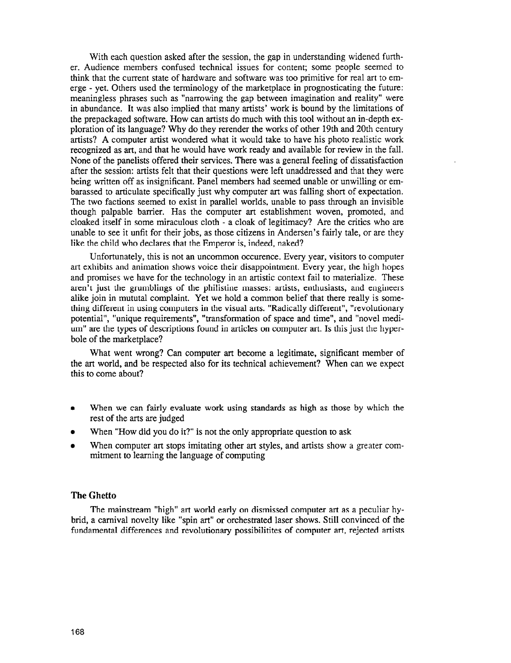With each question asked after the session, the gap in understanding widened further. Audience members confused technical issues for content; some people seemed to think that the current state of hardware and software was too primitive for real art to emerge - yet. Others used the terminology of the marketplace in prognosticating the future: meaningless phrases such as "narrowing the gap between imagination and reality" were in abundance. It was also implied that many artists' work is bound by the limitations of the prepackaged software. How can artists do much with this tool without an in-depth exploration of its language? Why do they rerender the works of other 19th and 20th century artists? A computer artist wondered what it would take to have his photo realistic work recognized as art, and that he would have work ready and available for review in the fall. None of the panelists offered their services. There was a general feeling of dissatisfaction after the session: artists felt that their questions were left unaddressed and that they were being written off as insignificant. Panel members had seemed unable or unwilling or embarassed to articulate specifically just why computer art was falling short of expectation. The two factions seemed to exist in parallel worlds, unable to pass through an invisible though palpable barrier. Has the computer art establishment woven, promoted, and cloaked itself in some miraculous cloth - a cloak of legitimacy? Are the critics who are unable to see it unfit for their jobs, as those citizens in Andersen's fairly tale, or are they like the child who declares that the Emperor is, indeed, naked?

Unfortunately, this is not an uncommon occurence. Every year, visitors to computer art exhibits and animation shows voice their disappointment. Every year, the high hopes and promises we have for the technology in an artistic context fail to materialize. These aren't just the grumblings of the Philistine masses: artists, enthusiasts, and engineers alike join in mututal complaint. Yet we hold a common belief that there really is something different in using computers in the visual arts. "Radically different", "revolutionary potential", "unique requirements", " transformation of space and time", and "novel medium" are the types of descriptions found in articles on computer art. Is this just the hyperbole of the marketplace?

What went wrong? Can computer art become a legitimate, significant member of the art world, and be respected also for its technical achievement? When can we expect this to come about?

- <sup>0</sup>When we can fairly evaluate work using standards as high as those by which the rest of the arts are judged
- When "How did you do it?" is not the only appropriate question to ask
- When computer art stops imitating other art styles, and artists show a greater commitment to learning the language of computing

#### The Ghetto

The mainstream "high" art world early on dismissed computer art as a peculiar hybrid, a carnival novelty like "spin art" or orchestrated laser shows. Still convinced of the fundamental differences and revolutionary possibilitites of computer art, rejected artists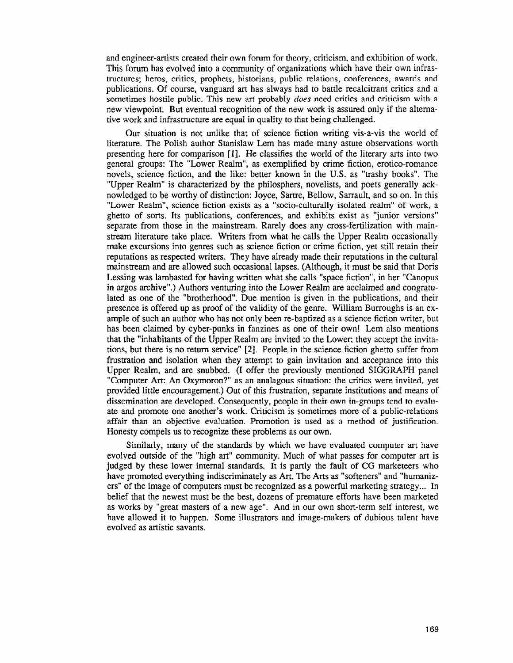and engineer-artists created their own forum for theory, criticism, and exhibition of work. This forum has evolved into a community of organizations which have their own infrastructures; heros, critics, prophets, historians, public relations, conferences, awards and publications. Of course, vanguard art has always had to battle recalcitrant critics and a sometimes hostile public. This new art probably *does* need critics and criticism with a new viewpoint. But eventual recognition of the new work is assured only if the altemative work and infrastmcture are equal in quality to that being challenged.

Our situation is not unlike that of science fiction writing vis-a-vis the world of literature. The Polish author Stanislaw Lem has made many astute observations worth presenting here for comparison [l]. He classifies the world of the literary arts into two general groups: The "Lower Realm", as exemplified by crime fiction, erotica-romance novels, science fiction, and the like: better known in the U.S. as "trashy books". The "Upper Realm" is characterized by the philosphers, novelists, and poets generally acknowledged to be worthy of distinction: Joyce, Sartre, Bellow, Sarrault, and so on. In this "Lower Realm", science fiction exists as a "socio-culturally isolated realm" of work, a ghetto of sorts. Its publications, conferences, and exhibits exist as "junior versions" separate from those in the mainstream. Rarely does any cross-fertilization with mainstream literature take place. Writers from what he calls the Upper Realm occasionally make excursions into genres such as science fiction or crime fiction, yet still retain their reputations as respected writers. They have already made their reputations in the cultural mainstream and are allowed such occasional lapses. (Although, it must be said that Doris Lessing was lambasted for having written what she calls "space fiction", in her "Canopus in argos archive".) Authors venturing into the Lower Realm are acclaimed and congratulated as one of the "brotherhood". Due mention is given in the publications, and their presence is offered up as proof of the validity of the genre. William Burroughs is an example of such an author who has not only been re-baptized as a science fiction writer, but has been claimed by cyber-punks in fanzines as one of their own! Lem also mentions that the "inhabitants of the Upper Realm are invited to the Lower; they accept the invitations, but there is no return service" [2]. People in the science fiction ghetto suffer from frustration and isolation when they attempt to gain invitation and acceptance into this Upper Realm, and are snubbed. (I offer the previously mentioned SIGGRAPH panel "Computer Art: An Oxymoron?" as an analagous situation: the critics were invited, yet provided little encouragement.) Out of this frustration, separate institutions and means of dissemination are developed. Consequently, people in their own in-groups tend to evaluate and promote one another's work. Criticism is sometimes more of a public-relations affair than an objective evaluation. Promotion is used as a method of justification. Honesty compels us to recognize these problems as our own.

Similarly, many of the standards by which we have evaluated computer art have evolved outside of the "high art" community. Much of what passes for computer art is judged by these lower internal standards. It is partly the fault of CG marketeers who have promoted everything indiscriminately as Art. The Arts as "softeners" and "humanizers" of the image of computers must be recognized as a powerful marketing strategy... In belief that the newest must be the best, dozens of premature efforts have been marketed as works by "great masters of a new age". And in our own short-term self interest, we have allowed it to happen. Some illustrators and image-makers of dubious talent have evolved as artistic savants.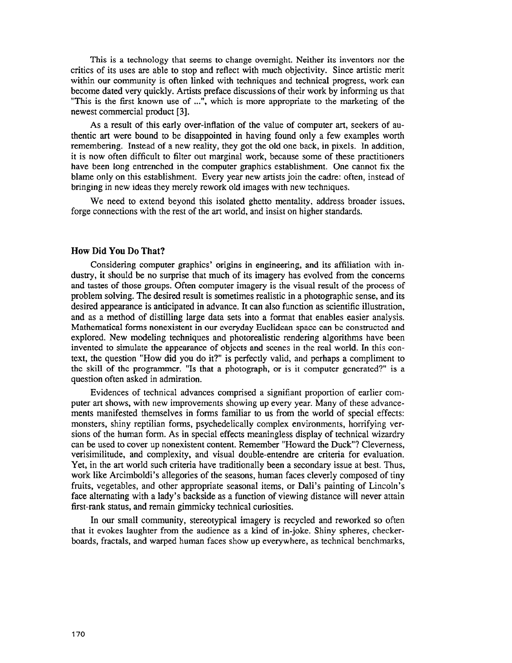This is a technology that seems to change overnight. Neither its inventors nor the critics of its uses are able to stop and reflect with much objectivity. Since artistic merit within our community is often linked with techniques and technical progress, work can become dated very quickly. Artists preface discussions of their work by informing us that "This is the first known use of ...", which is more appropriate to the marketing of the newest commercial product [3].

As a result of this early over-inflation of the value of computer art, seekers of authentic art were bound to be disappointed in having found only a few examples worth remembering. Instead of a new reality, they got the old one back, in pixels. In addition, it is now often difficult to filter out marginal work, because some of these practitioners have been long entrenched in the computer graphics establishment. One cannot fix the blame only on this establishment. Every year new artists join the cadre: often, instead of bringing in new ideas they merely rework old images with new techniques.

We need to extend beyond this isolated ghetto mentality, address broader issues, forge connections with the rest of the art world, and insist on higher standards.

### How Did You Do That?

Considering computer graphics' origins in engineering, and its affiliation with industry, it should be no surprise that much of its imagery has evolved from the concerns and tastes of those groups. Often computer imagery is the visual result of the process of problem solving. The desired result is sometimes realistic in a photographic sense, and its desired appearance is anticipated in advance. It can also function as scientific illustration, and as a method of distilling large data sets into a format that enables easier analysis. Mathematical forms nonexistent in our everyday Euclidean space can be constructed and explored. New modeling techniques and photorealistic rendering algorithms have been invented to simulate the appearance of objects and scenes in the real world. In this context, the question "How did you do it?" is perfectly valid, and perhaps a compliment to the skill of the programmer. "Is that a photograph, or is it computer generated?" is a question often asked in admiration.

Evidences of technical advances comprised a signifiant proportion of earlier computer art shows, with new improvements showing up every year. Many of these advancements manifested themselves in forms familiar to us from the world of special effects: monsters, shiny reptilian forms, psychedelically complex environments, horrifying versions of the human form. As in special effects meaningless display of technical wizardry can be used to cover up nonexistent content. Remember "Howard the Duck"? Cleverness, verisimilitude, and complexity, and visual double-entendre are criteria for evaluation. Yet, in the art world such criteria have traditionally been a secondary issue at best. Thus, work like Arcimboldi's allegories of the seasons, human faces cleverly composed of tiny fruits, vegetables, and other appropriate seasonal items, or Dali's painting of Lincoln's face alternating with a lady's backside as a function of viewing distance will never attain first-rank status, and remain gimmicky technical curiosities.

In our small community, stereotypical imagery is recycled and reworked so often that it evokes laughter from the audience as a kind of in-joke. Shiny spheres, checkerboards, fractals, and warped human faces show up everywhere, as technical benchmarks,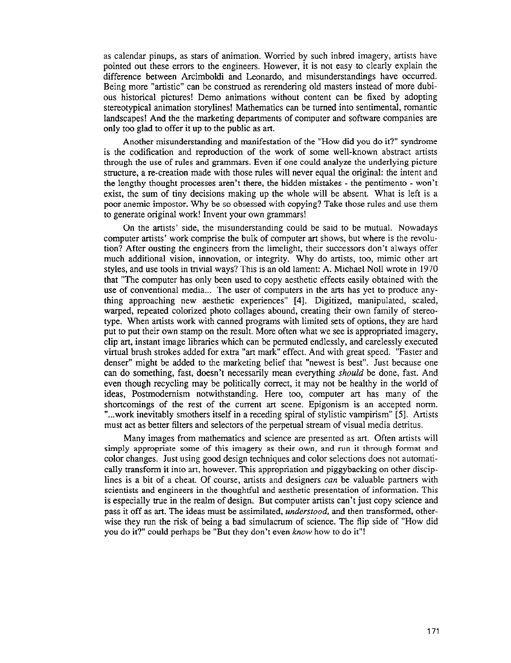as calendar pinups, as stars of animation. Worried by such inbred imagery, artists have pointed out these errors to the engineers. However, it is not easy to clearly explain the difference between Arcimboldi and Leonardo, and misunderstandings have occurred. Being more "artistic" can be construed as rerendering old masters instead of more dubious historical pictures! Demo animations without content can be fixed by adopting stereotypical animation storylines! Mathematics can be turned into sentimental, romantic landscapes! And the the marketing departments of computer and software companies are only too glad to offer it up to the public as art.

Another misunderstanding and manifestation of the "How did you do it?" syndrome is the codification and reproduction of the work of some well-known abstract artists through the use of rules and grammars. Even if one could analyze the underlying picture structure, a re-creation made with those rules will never equal the original: the intent and the lengthy thought processes aren't there, the hidden mistakes - the pentimento - won't exist, the sum of tiny decisions making up the whole will be absent. What is left is a poor anemic impostor. Why be so obsessed with copying? Take those rules and use them to generate original work! Invent your own grammars!

On the artists' side, the misunderstanding could be said to be mutual. Nowadays computer artists' work comprise the bulk of computer art shows, but where is the revolution? After ousting the engineers from the limelight, their successors don't always offer much additional vision, innovation, or integrity. Why do artists, too, mimic other art styles, and use tools in trivial ways? This is an old lament: A. Michael No11 wrote in 1970 that "The computer has only been used to copy aesthetic effects easily obtained with the use of conventional media... The user of computers in the arts has yet to produce anything approaching new aesthetic experiences" [4]. Digitized, manipulated, scaled, warped, repeated colorized photo collages abound, creating their own family of stereotype. When artists work with canned programs with limited sets of options, they are hard put to put their own stamp on the result. More often what we see is appropriated imagery, clip art, instant image libraries which can be permuted endlessly, and carelessly executed virtual brush strokes added for extra "art mark' effect. And with great speed. "Faster and denser" might be added to the marketing belief that "newest is best". Just because one can do something, fast, doesn't necessarily mean everything should be done, fast. And even though recycling may be politically correct, it may not be healthy in the world of ideas, Postmodernism notwithstanding. Here too, computer art has many of the shortcomings of the rest of the current art scene. Epigonism is an accepted norm. "...work inevitably smothers itself in a receding spiral of stylistic vampirism" [5]. Artists must act as better filters and selectors of the perpetual stream of visual media detritus.

Many images from mathematics and science are presented as art. Often artists will simply appropriate some of this imagery as their own, and run it through format and color changes. Just using good design techniques and color selections does not automatically transform it into art, however. This appropriation and piggybacking on other disciplines is a bit of a cheat. Of course, artists and designers *can* be valuable partners with scientists and engineers in the thoughtful and aesthetic presentation of information. This is especially true in the realm of design. But computer artists can't just copy science and pass it off as art. The ideas must be assimilated, understood, and then transformed, otherwise they run the risk of being a bad simulacrum of science. The flip side of "How did you do it?" could perhaps be "But they don't even know how to do it"!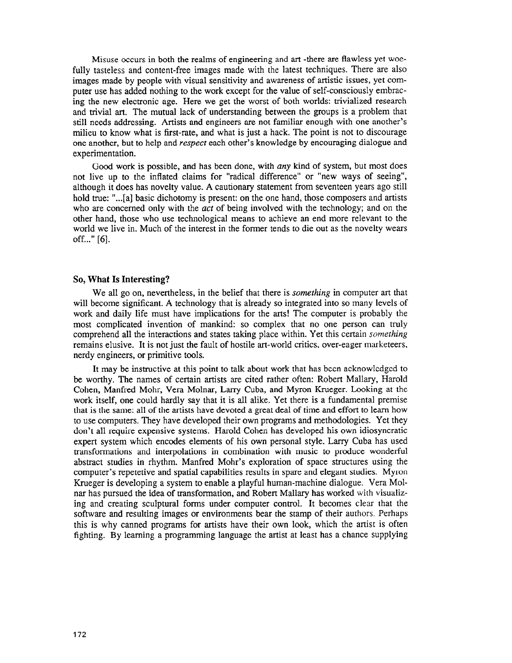Misuse occurs in both the realms of engineering and art -there are flawless yet woefully tasteless and content-free images made with the latest techniques. There are also images made by people with visual sensitivity and awareness of artistic issues, yet computer use has added nothing to the work except for the value of self-consciously embracing the new electronic age. Here we get the worst of both worlds: trivialized research and trivial art. The mutual lack of understanding between the groups is a problem that still needs addressing. Artists and engineers are not familiar enough with one another's milieu to know what is first-rate, and what is just a hack. The point is not to discourage one another, but to help and respect each other's knowledge by encouraging dialogue and experimentation.

Good work is possible, and has been done, with any kind of system, but most does not live up to the inflated claims for "radical difference" or "new ways of seeing", although it does has novelty value. A cautionary statement from seventeen years ago still hold true: "...[a] basic dichotomy is present: on the one hand, those composers and artists who are concerned only with the  $act$  of being involved with the technology; and on the other hand, those who use technological means to achieve an end more relevant to the world we live in. Much of the interest in the former tends to die out as the novelty wears off..." [6].

### So, What Is Interesting?

We all go on, nevertheless, in the belief that there is *something* in computer art that will become significant. A technology that is already so integrated into so many levels of work and daily life must have implications for the arts! The computer is probably the most complicated invention of mankind: so complex that no one person can truly comprehend all the interactions and states taking place within. Yet this certain *something* remains elusive. It is not just the fault of hostile art-world critics, over-eager marketeers, nerdy engineers, or primitive tools.

It may be instructive at this point to talk about work that has been acknowledged to be worthy. The names of certain artists are cited rather often: Robert Mallary, Harold Cohen, Manfred Mohr, Vera Molnar, Larry Cuba, and Myron Krueger. Looking at the work itself, one could hardly say that it is all alike. Yet there is a fundamental premise that is the same: all of the artists have devoted a great deal of time and effort to learn how to use computers. They have developed their own programs and methodologies. Yet they don't all require expensive systems. Harold Cohen has developed his own idiosyncratic expert system which encodes elements of his own personal style. Larry Cuba has used transformations and interpolations in combination with music to produce wonderful abstract studies in rhythm. Manfred Mohr's exploration of space structures using the computer's repetetive and spatial capabilities results in spare and elegant studies. Myron Krueger is developing a system to enable a playful human-machine dialogue. Vera Molnar has pursued the idea of transformation, and Robert Mallary has worked with visualizing and creating sculptural forms under computer control. It becomes clear that the software and resulting images or environments bear the stamp of their authors. Perhaps this is why canned programs for artists have their own look, which the artist is often fighting. By learning a programming language the artist at least has a chance supplying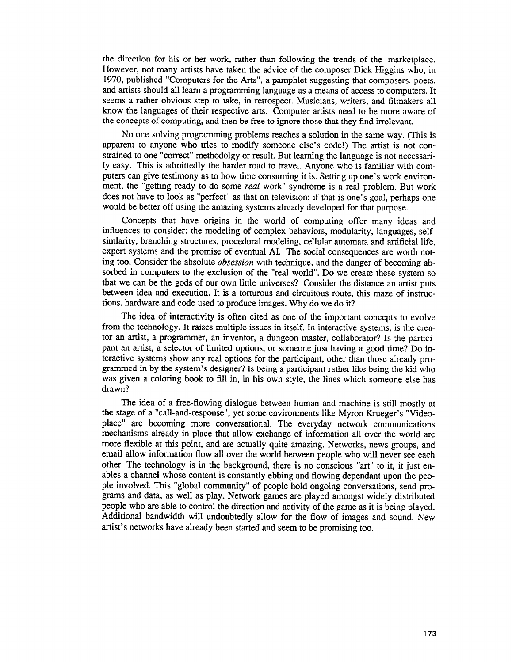the direction for his or her work, rather than following the trends of the marketplace. However, not many artists have taken the advice of the composer Dick Higgins who, in 1970, published "Computers for the Arts", a pamphlet suggesting that composers, poets, and artists should all learn a programming language as a means of access to computers. It seems a rather obvious step to take, in retrospect. Musicians, writers, and filmakers all know the languages of their respective arts. Computer artists need to be more aware of the concepts of computing, and then be free to ignore those that they find irrelevant.

No one solving programming problems reaches a solution in the same way. (This is apparent to anyone who tries to modify someone else's code!) The artist is not constrained to one "correct" methodolgy or result. But learning the language is not necessarily easy. This is admittedly the harder road to travel. Anyone who is familiar with computers can give testimony as to how time consuming it is. Setting up one's work environment, the "getting ready to do some *real* work" syndrome is a real problem. But work does not have to look as "perfect" as that on television: if that is one's goal, perhaps one would be better off using the amazing systems already developed for that purpose,

Concepts that have origins in the world of computing offer many ideas and influences to consider: the modeling of complex behaviors, modularity, languages, selfsimlarity, branching structures, procedural modeling, cellular automata and artificial life, expert systems and the promise of eventual AI. The social consequences are worth noting too. Consider the absolute obsession with technique, and the danger of becoming absorbed in computers to the exclusion of the "real world". Do we create these system so that we can be the gods of our own little universes? Consider the distance an artist puts between idea and execution. It is a torturous and circuitous route, this maze of instructions, hardware and code used to produce images. Why do we do it?

The idea of interactivity is often cited as one of the important concepts to evolve from the technology. It raises multiple issues in itself. In interactive systems, is the creator an artist, a programmer, an inventor, a dungeon master, collaborator? Is the participant an artist, a selector of limited options, or someone just having a good time? Do interactive systems show any real options for the participant, other than those already programmed in by the system's designer? Is being a participant rather like being the kid who was given a coloring book to fill in, in his own style, the lines which someone else has drawn?

The idea of a free-flowing dialogue between human and machine is still mostly at the stage of a "call-and-response", yet some environments like Myron Krueger's "Videoplace" are becoming more conversational. The everyday network communications mechanisms already in place that allow exchange of information all over the world are more flexible at this point, and are actually quite amazing. Networks, news groups, and email allow information flow alI over the world between people who will never see each other. The technology is in the background, there is no conscious "art" to it, it just enables a channel whose content is constantly ebbing and flowing dependant upon the people involved. This "global community" of people hold ongoing conversations, send programs and data, as well as play. Network games are played amongst widely distributed people who are able to control the direction and activity of the game as it is being played. Additional bandwidth will undoubtedly allow for the flow of images and sound. New artist's networks have already been started and seem to be promising too.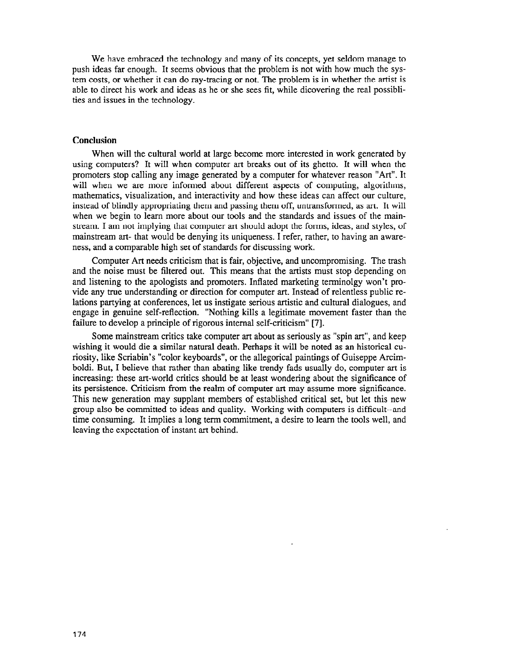We have embraced the technology and many of its concepts, yet seldom manage to push ideas far enough. It seems obvious that the problem is not with how much the system costs, or whether it can do ray-tracing or not. The problem is in whether the artist is able to direct his work and ideas as he or she sees fit, while dicovering the real possiblities and issues in the technology.

#### Conclusion

When will the cultural world at large become more interested in work generated by using computers? It will when computer art breaks out of its ghetto. It will when the promoters stop calling any image generated by a computer for whatever reason "Art". It will when we are more informed about different aspects of computing, algorithms, mathematics, visualization, and interactivity and how these ideas can affect our culture, instead of blindly appropriating them and passing them off, untransformed, as art. It will when we begin to learn more about our tools and the standards and issues of the mainstream. I am not implying that computer art should adopt the forms, ideas, and styles, of mainstream art- that would be denying its uniqueness. I refer, rather, to having an awareness, and a comparable high set of standards for discussing work.

Computer Art needs criticism that is fair, objective, and uncompromising. The trash and the noise must be filtered out. This means that the artists must stop depending on and listening to the apologists and promoters. Inflated marketing terminolgy won't provide any true understanding or direction for computer art. Instead of relentless public relations partying at conferences, let us instigate serious artistic and culturaI dialogues, and engage in genuine self-reflection. "Nothing kills a legitimate movement faster than the failure to develop a principle of rigorous internal self-criticism" [7].

Some mainstream critics take computer art about as seriously as "spin art", and keep wishing it would die a similar natural death. Perhaps it will be noted as an historical curiosity, like Scriabin's "color keyboards", or the allegorical paintings of Guiseppe Arcimboldi. But, I believe that rather than abating like trendy fads usually do, computer art is increasing: these art-world critics should be at least wondering about the significance of its persistence. Criticism from the realm of computer art may assume more significance. This new generation may supplant members of established critical set, but let this new group also be committed to ideas and quality. Working with computers is difficult--and time consuming. It implies a long term commitment, a desire to learn the tools well, and leaving the expectation of instant art behind.